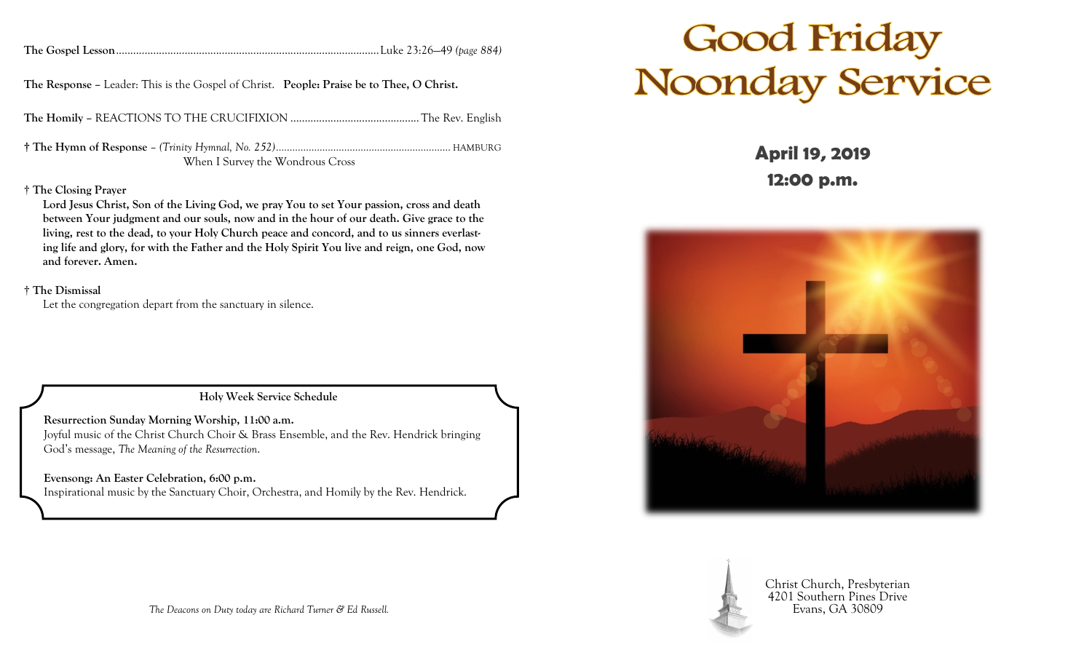|  |  | The Gospel Lesson. |
|--|--|--------------------|
|--|--|--------------------|

**The Gospel Lesson**............................................................................................Luke 23:26—49 *(page 884)*

**The Response –** Leader: This is the Gospel of Christ. **People: Praise be to Thee, O Christ.**

**The Homily –** REACTIONS TO THE CRUCIFIXION .............................................The Rev. English

**† The Hymn of Response** – *(Trinity Hymnal, No. 252)................................................................* HAMBURG When I Survey the Wondrous Cross

## † **The Closing Prayer**

**Lord Jesus Christ, Son of the Living God, we pray You to set Your passion, cross and death between Your judgment and our souls, now and in the hour of our death. Give grace to the living, rest to the dead, to your Holy Church peace and concord, and to us sinners everlasting life and glory, for with the Father and the Holy Spirit You live and reign, one God, now and forever. Amen.**

## † **The Dismissal**

Let the congregation depart from the sanctuary in silence.

**Holy Week Service Schedule**

**Resurrection Sunday Morning Worship, 11:00 a.m.** Joyful music of the Christ Church Choir & Brass Ensemble, and the Rev. Hendrick bringing God's message, *The Meaning of the Resurrection*.

**Evensong: An Easter Celebration, 6:00 p.m.** Inspirational music by the Sanctuary Choir, Orchestra, and Homily by the Rev. Hendrick.

## **Good Friday<br>Noonday Service**

**April 19, 2019 12:00 p.m.**





Christ Church, Presbyterian 4201 Southern Pines Drive Evans, GA 30809

*The Deacons on Duty today are Richard Turner & Ed Russell.*